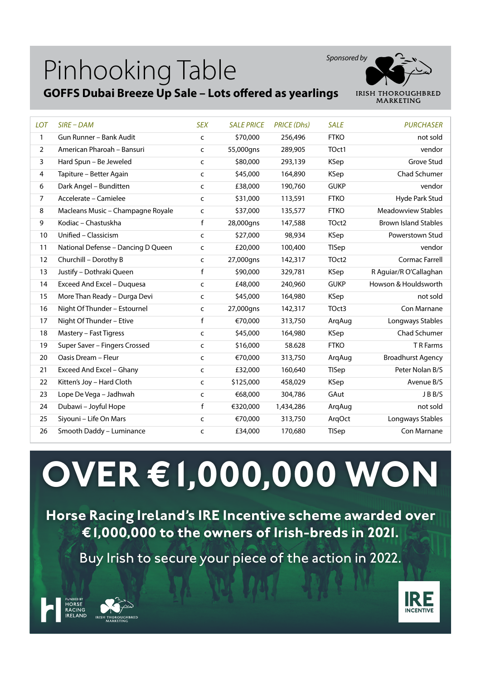## Pinhooking Table





| <b>LOT</b>     | $SIRE$ – $DAM$                     | <b>SEX</b>   | <b>SALE PRICE</b> | <b>PRICE (Dhs)</b> | <b>SALE</b>       | <b>PURCHASER</b>            |
|----------------|------------------------------------|--------------|-------------------|--------------------|-------------------|-----------------------------|
| $\mathbf{1}$   | Gun Runner - Bank Audit            | $\mathsf{C}$ | \$70,000          | 256,496            | <b>FTKO</b>       | not sold                    |
| $\overline{2}$ | American Pharoah - Bansuri         | C            | 55,000gns         | 289,905            | TOct1             | vendor                      |
| 3              | Hard Spun - Be Jeweled             | C            | \$80,000          | 293,139            | <b>KSep</b>       | Grove Stud                  |
| 4              | Tapiture - Better Again            | $\mathsf{C}$ | \$45,000          | 164,890            | KSep              | Chad Schumer                |
| 6              | Dark Angel - Bunditten             | c            | £38,000           | 190,760            | <b>GUKP</b>       | vendor                      |
| $\overline{7}$ | Accelerate - Camielee              | C            | \$31,000          | 113,591            | <b>FTKO</b>       | Hyde Park Stud              |
| 8              | Macleans Music - Champagne Royale  | $\mathsf{C}$ | \$37,000          | 135,577            | <b>FTKO</b>       | <b>Meadowview Stables</b>   |
| 9              | Kodiac - Chastuskha                | f            | 28,000gns         | 147,588            | TOct <sub>2</sub> | <b>Brown Island Stables</b> |
| 10             | Unified - Classicism               | $\mathsf{C}$ | \$27,000          | 98,934             | <b>KSep</b>       | Powerstown Stud             |
| 11             | National Defense - Dancing D Queen | $\mathsf{C}$ | £20,000           | 100,400            | TISep             | vendor                      |
| 12             | Churchill - Dorothy B              | $\mathsf{C}$ | 27,000gns         | 142,317            | TOct <sub>2</sub> | Cormac Farrell              |
| 13             | Justify - Dothraki Queen           | $\mathsf f$  | \$90,000          | 329,781            | <b>KSep</b>       | R Aguiar/R O'Callaghan      |
| 14             | Exceed And Excel - Duquesa         | c            | £48,000           | 240,960            | <b>GUKP</b>       | Howson & Houldsworth        |
| 15             | More Than Ready - Durga Devi       | c            | \$45,000          | 164,980            | KSep              | not sold                    |
| 16             | Night Of Thunder - Estournel       | C            | 27,000gns         | 142,317            | TOct3             | Con Marnane                 |
| 17             | Night Of Thunder - Etive           | f            | €70,000           | 313,750            | ArqAug            | Longways Stables            |
| 18             | Mastery - Fast Tigress             | $\mathsf{C}$ | \$45,000          | 164,980            | <b>KSep</b>       | Chad Schumer                |
| 19             | Super Saver - Fingers Crossed      | $\mathsf{C}$ | \$16,000          | 58.628             | <b>FTKO</b>       | T R Farms                   |
| 20             | Oasis Dream - Fleur                | C            | €70,000           | 313,750            | ArgAug            | <b>Broadhurst Agency</b>    |
| 21             | Exceed And Excel - Ghany           | c            | £32,000           | 160,640            | <b>TISep</b>      | Peter Nolan B/S             |
| 22             | Kitten's Joy - Hard Cloth          | C            | \$125,000         | 458,029            | <b>KSep</b>       | Avenue B/S                  |
| 23             | Lope De Vega - Jadhwah             | $\mathsf{C}$ | €68,000           | 304,786            | GAut              | JBB/S                       |
| 24             | Dubawi - Joyful Hope               | f            | €320,000          | 1,434,286          | ArqAug            | not sold                    |
| 25             | Siyouni - Life On Mars             | $\mathsf{C}$ | €70,000           | 313,750            | ArqOct            | Longways Stables            |
| 26             | Smooth Daddy - Luminance           | C            | £34,000           | 170,680            | TISep             | Con Marnane                 |

**OVER €1,000,000 WON**

**Horse Racing Ireland's IRE Incentive scheme awarded over €1,000,000 to the owners of Irish-breds in 2021.**

Buy Irish to secure your piece of the action in 2022.